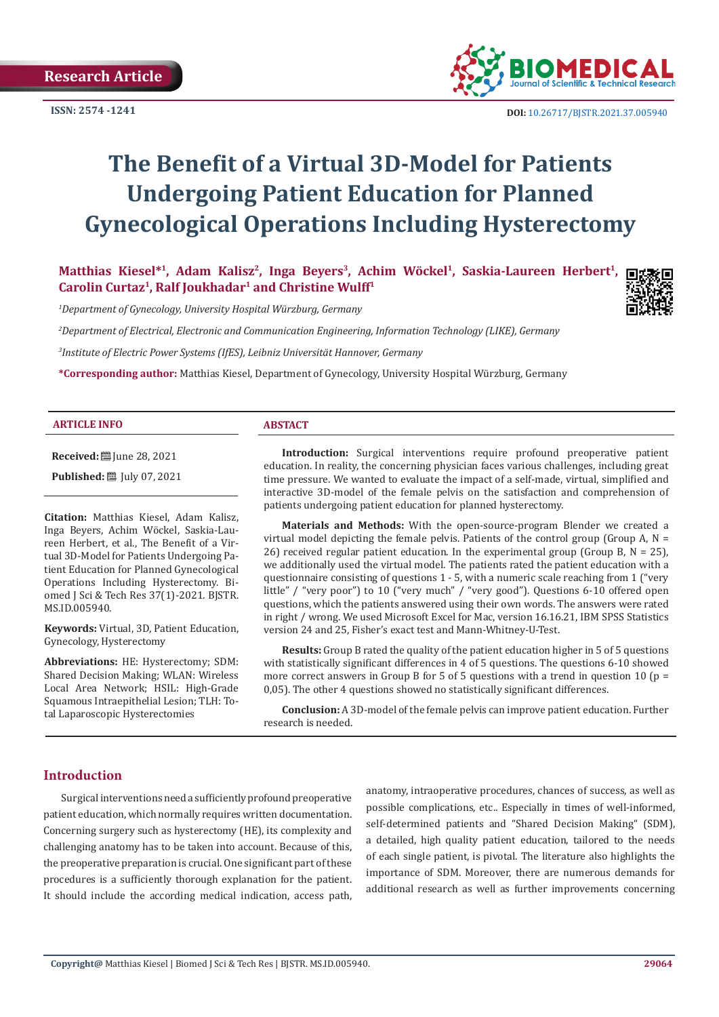

# **The Benefit of a Virtual 3D-Model for Patients Undergoing Patient Education for Planned Gynecological Operations Including Hysterectomy**

**Matthias Kiesel\*<sup>1</sup>, Adam Kalisz<sup>2</sup>, Inga Beyers3, Achim Wöckel<sup>1</sup>, Saskia-Laureen Herbert1, Carolin Curtaz<sup>1</sup>, Ralf Joukhadar<sup>1</sup> and Christine Wulff<sup>1</sup>**

*1 Department of Gynecology, University Hospital Würzburg, Germany*

*2 Department of Electrical, Electronic and Communication Engineering, Information Technology (LIKE), Germany*

*3 Institute of Electric Power Systems (IfES), Leibniz Universität Hannover, Germany*

**\*Corresponding author:** Matthias Kiesel, Department of Gynecology, University Hospital Würzburg, Germany

#### **ARTICLE INFO ABSTACT**

**Received:** ■ June 28, 2021

**Published:** [201] July 07, 2021

**Citation:** Matthias Kiesel, Adam Kalisz, Inga Beyers, Achim Wöckel, Saskia-Laureen Herbert, et al., The Benefit of a Virtual 3D-Model for Patients Undergoing Patient Education for Planned Gynecological Operations Including Hysterectomy. Biomed J Sci & Tech Res 37(1)-2021. BJSTR. MS.ID.005940.

**Keywords:** Virtual, 3D, Patient Education, Gynecology, Hysterectomy

**Abbreviations:** HE: Hysterectomy; SDM: Shared Decision Making; WLAN: Wireless Local Area Network; HSIL: High-Grade Squamous Intraepithelial Lesion; TLH: Total Laparoscopic Hysterectomies

**Introduction:** Surgical interventions require profound preoperative patient education. In reality, the concerning physician faces various challenges, including great time pressure. We wanted to evaluate the impact of a self-made, virtual, simplified and interactive 3D-model of the female pelvis on the satisfaction and comprehension of patients undergoing patient education for planned hysterectomy.

**Materials and Methods:** With the open-source-program Blender we created a virtual model depicting the female pelvis. Patients of the control group (Group A,  $N =$ 26) received regular patient education. In the experimental group (Group B,  $N = 25$ ), we additionally used the virtual model. The patients rated the patient education with a questionnaire consisting of questions 1 - 5, with a numeric scale reaching from 1 ("very little" / "very poor") to 10 ("very much" / "very good"). Questions 6-10 offered open questions, which the patients answered using their own words. The answers were rated in right / wrong. We used Microsoft Excel for Mac, version 16.16.21, IBM SPSS Statistics version 24 and 25, Fisher's exact test and Mann-Whitney-U-Test.

**Results:** Group B rated the quality of the patient education higher in 5 of 5 questions with statistically significant differences in 4 of 5 questions. The questions 6-10 showed more correct answers in Group B for 5 of 5 questions with a trend in question 10 ( $p =$ 0,05). The other 4 questions showed no statistically significant differences.

**Conclusion:** A 3D-model of the female pelvis can improve patient education. Further research is needed.

#### **Introduction**

Surgical interventions need a sufficiently profound preoperative patient education, which normally requires written documentation. Concerning surgery such as hysterectomy (HE), its complexity and challenging anatomy has to be taken into account. Because of this, the preoperative preparation is crucial. One significant part of these procedures is a sufficiently thorough explanation for the patient. It should include the according medical indication, access path, anatomy, intraoperative procedures, chances of success, as well as possible complications, etc.. Especially in times of well-informed, self-determined patients and "Shared Decision Making" (SDM), a detailed, high quality patient education, tailored to the needs of each single patient, is pivotal. The literature also highlights the importance of SDM. Moreover, there are numerous demands for additional research as well as further improvements concerning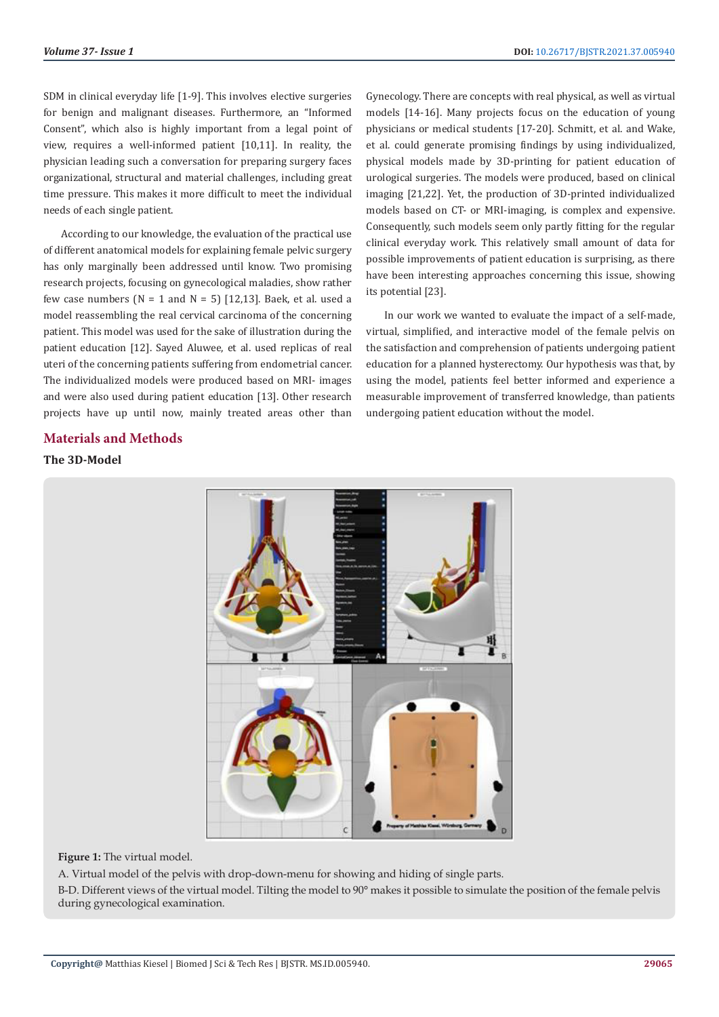SDM in clinical everyday life [1-9]. This involves elective surgeries for benign and malignant diseases. Furthermore, an "Informed Consent", which also is highly important from a legal point of view, requires a well-informed patient [10,11]. In reality, the physician leading such a conversation for preparing surgery faces organizational, structural and material challenges, including great time pressure. This makes it more difficult to meet the individual needs of each single patient.

According to our knowledge, the evaluation of the practical use of different anatomical models for explaining female pelvic surgery has only marginally been addressed until know. Two promising research projects, focusing on gynecological maladies, show rather few case numbers ( $N = 1$  and  $N = 5$ ) [12,13]. Baek, et al. used a model reassembling the real cervical carcinoma of the concerning patient. This model was used for the sake of illustration during the patient education [12]. Sayed Aluwee, et al. used replicas of real uteri of the concerning patients suffering from endometrial cancer. The individualized models were produced based on MRI- images and were also used during patient education [13]. Other research projects have up until now, mainly treated areas other than

# **Materials and Methods**

# **The 3D-Model**

Gynecology. There are concepts with real physical, as well as virtual models [14-16]. Many projects focus on the education of young physicians or medical students [17-20]. Schmitt, et al. and Wake, et al. could generate promising findings by using individualized, physical models made by 3D-printing for patient education of urological surgeries. The models were produced, based on clinical imaging [21,22]. Yet, the production of 3D-printed individualized models based on CT- or MRI-imaging, is complex and expensive. Consequently, such models seem only partly fitting for the regular clinical everyday work. This relatively small amount of data for possible improvements of patient education is surprising, as there have been interesting approaches concerning this issue, showing its potential [23].

In our work we wanted to evaluate the impact of a self-made, virtual, simplified, and interactive model of the female pelvis on the satisfaction and comprehension of patients undergoing patient education for a planned hysterectomy. Our hypothesis was that, by using the model, patients feel better informed and experience a measurable improvement of transferred knowledge, than patients undergoing patient education without the model.



#### **Figure 1:** The virtual model.

A. Virtual model of the pelvis with drop-down-menu for showing and hiding of single parts.

B-D. Different views of the virtual model. Tilting the model to 90° makes it possible to simulate the position of the female pelvis during gynecological examination.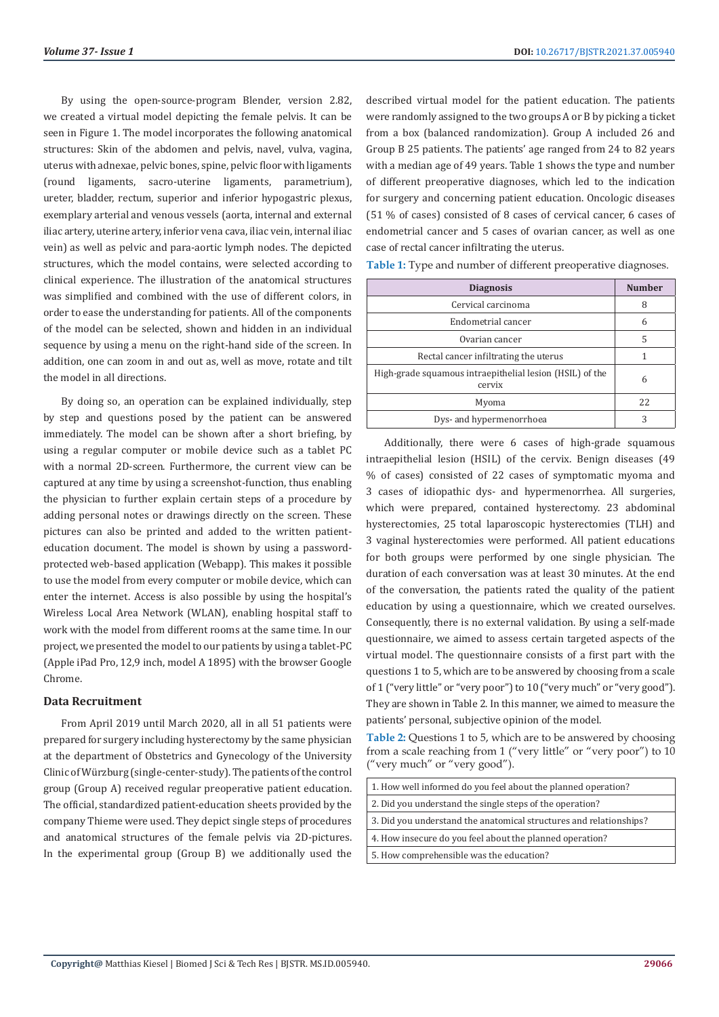By using the open-source-program Blender, version 2.82, we created a virtual model depicting the female pelvis. It can be seen in Figure 1. The model incorporates the following anatomical structures: Skin of the abdomen and pelvis, navel, vulva, vagina, uterus with adnexae, pelvic bones, spine, pelvic floor with ligaments (round ligaments, sacro-uterine ligaments, parametrium), ureter, bladder, rectum, superior and inferior hypogastric plexus, exemplary arterial and venous vessels (aorta, internal and external iliac artery, uterine artery, inferior vena cava, iliac vein, internal iliac vein) as well as pelvic and para-aortic lymph nodes. The depicted structures, which the model contains, were selected according to clinical experience. The illustration of the anatomical structures was simplified and combined with the use of different colors, in order to ease the understanding for patients. All of the components of the model can be selected, shown and hidden in an individual sequence by using a menu on the right-hand side of the screen. In addition, one can zoom in and out as, well as move, rotate and tilt the model in all directions.

By doing so, an operation can be explained individually, step by step and questions posed by the patient can be answered immediately. The model can be shown after a short briefing, by using a regular computer or mobile device such as a tablet PC with a normal 2D-screen. Furthermore, the current view can be captured at any time by using a screenshot-function, thus enabling the physician to further explain certain steps of a procedure by adding personal notes or drawings directly on the screen. These pictures can also be printed and added to the written patienteducation document. The model is shown by using a passwordprotected web-based application (Webapp). This makes it possible to use the model from every computer or mobile device, which can enter the internet. Access is also possible by using the hospital's Wireless Local Area Network (WLAN), enabling hospital staff to work with the model from different rooms at the same time. In our project, we presented the model to our patients by using a tablet-PC (Apple iPad Pro, 12,9 inch, model A 1895) with the browser Google Chrome.

## **Data Recruitment**

From April 2019 until March 2020, all in all 51 patients were prepared for surgery including hysterectomy by the same physician at the department of Obstetrics and Gynecology of the University Clinic of Würzburg (single-center-study). The patients of the control group (Group A) received regular preoperative patient education. The official, standardized patient-education sheets provided by the company Thieme were used. They depict single steps of procedures and anatomical structures of the female pelvis via 2D-pictures. In the experimental group (Group B) we additionally used the

described virtual model for the patient education. The patients were randomly assigned to the two groups A or B by picking a ticket from a box (balanced randomization). Group A included 26 and Group B 25 patients. The patients' age ranged from 24 to 82 years with a median age of 49 years. Table 1 shows the type and number of different preoperative diagnoses, which led to the indication for surgery and concerning patient education. Oncologic diseases (51 % of cases) consisted of 8 cases of cervical cancer, 6 cases of endometrial cancer and 5 cases of ovarian cancer, as well as one case of rectal cancer infiltrating the uterus.

| <b>Diagnosis</b>                                                   | <b>Number</b> |
|--------------------------------------------------------------------|---------------|
| Cervical carcinoma                                                 | 8             |
| Endometrial cancer                                                 | 6             |
| Ovarian cancer                                                     | 5             |
| Rectal cancer infiltrating the uterus                              |               |
| High-grade squamous intraepithelial lesion (HSIL) of the<br>cervix | 6             |
| Myoma                                                              | 22            |
| Dys- and hypermenorrhoea                                           | 3             |

**Table 1:** Type and number of different preoperative diagnoses.

Additionally, there were 6 cases of high-grade squamous intraepithelial lesion (HSIL) of the cervix. Benign diseases (49 % of cases) consisted of 22 cases of symptomatic myoma and 3 cases of idiopathic dys- and hypermenorrhea. All surgeries, which were prepared, contained hysterectomy. 23 abdominal hysterectomies, 25 total laparoscopic hysterectomies (TLH) and 3 vaginal hysterectomies were performed. All patient educations for both groups were performed by one single physician. The duration of each conversation was at least 30 minutes. At the end of the conversation, the patients rated the quality of the patient education by using a questionnaire, which we created ourselves. Consequently, there is no external validation. By using a self-made questionnaire, we aimed to assess certain targeted aspects of the virtual model. The questionnaire consists of a first part with the questions 1 to 5, which are to be answered by choosing from a scale of 1 ("very little" or "very poor") to 10 ("very much" or "very good"). They are shown in Table 2. In this manner, we aimed to measure the patients' personal, subjective opinion of the model.

**Table 2:** Questions 1 to 5, which are to be answered by choosing from a scale reaching from 1 ("very little" or "very poor") to 10 ("very much" or "very good").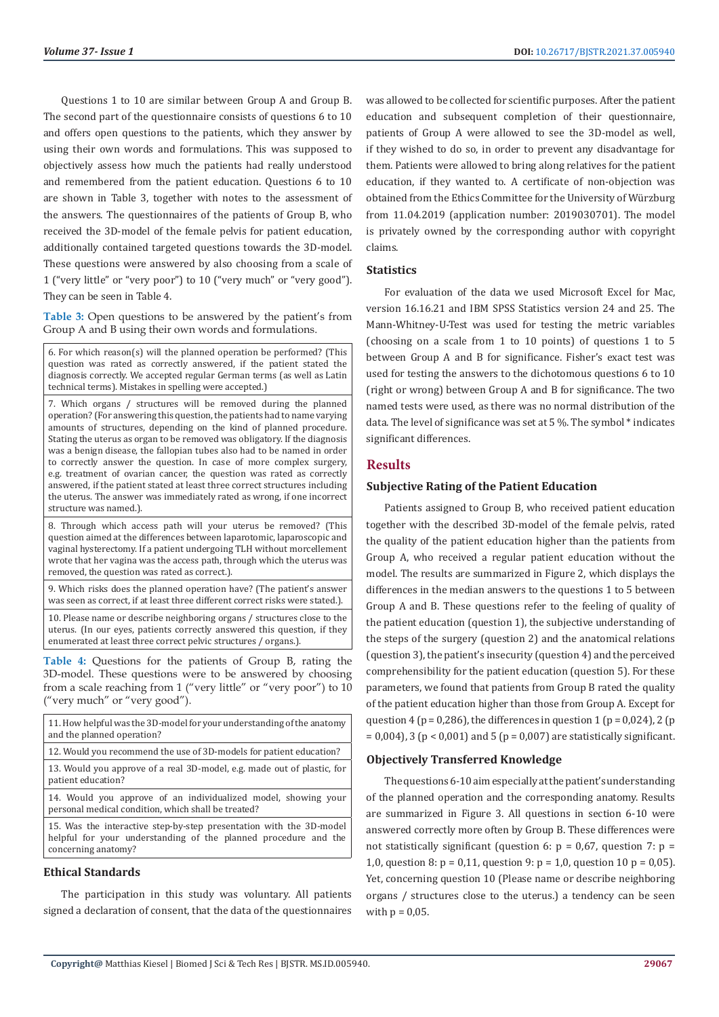Questions 1 to 10 are similar between Group A and Group B. The second part of the questionnaire consists of questions 6 to 10 and offers open questions to the patients, which they answer by using their own words and formulations. This was supposed to objectively assess how much the patients had really understood and remembered from the patient education. Questions 6 to 10 are shown in Table 3, together with notes to the assessment of the answers. The questionnaires of the patients of Group B, who received the 3D-model of the female pelvis for patient education, additionally contained targeted questions towards the 3D-model. These questions were answered by also choosing from a scale of 1 ("very little" or "very poor") to 10 ("very much" or "very good"). They can be seen in Table 4.

**Table 3:** Open questions to be answered by the patient's from Group A and B using their own words and formulations.

6. For which reason(s) will the planned operation be performed? (This question was rated as correctly answered, if the patient stated the diagnosis correctly. We accepted regular German terms (as well as Latin technical terms). Mistakes in spelling were accepted.)

7. Which organs / structures will be removed during the planned operation? (For answering this question, the patients had to name varying amounts of structures, depending on the kind of planned procedure. Stating the uterus as organ to be removed was obligatory. If the diagnosis was a benign disease, the fallopian tubes also had to be named in order to correctly answer the question. In case of more complex surgery, e.g. treatment of ovarian cancer, the question was rated as correctly answered, if the patient stated at least three correct structures including the uterus. The answer was immediately rated as wrong, if one incorrect structure was named.).

8. Through which access path will your uterus be removed? (This question aimed at the differences between laparotomic, laparoscopic and vaginal hysterectomy. If a patient undergoing TLH without morcellement wrote that her vagina was the access path, through which the uterus was removed, the question was rated as correct.).

9. Which risks does the planned operation have? (The patient's answer was seen as correct, if at least three different correct risks were stated.).

10. Please name or describe neighboring organs / structures close to the uterus. (In our eyes, patients correctly answered this question, if they enumerated at least three correct pelvic structures / organs.).

**Table 4:** Questions for the patients of Group B, rating the 3D-model. These questions were to be answered by choosing from a scale reaching from 1 ("very little" or "very poor") to 10 ("very much" or "very good").

| 11. How helpful was the 3D-model for your understanding of the anatomy |
|------------------------------------------------------------------------|
| and the planned operation?                                             |

12. Would you recommend the use of 3D-models for patient education?

13. Would you approve of a real 3D-model, e.g. made out of plastic, for patient education?

14. Would you approve of an individualized model, showing your personal medical condition, which shall be treated?

15. Was the interactive step-by-step presentation with the 3D-model helpful for your understanding of the planned procedure and the concerning anatomy?

# **Ethical Standards**

The participation in this study was voluntary. All patients signed a declaration of consent, that the data of the questionnaires was allowed to be collected for scientific purposes. After the patient education and subsequent completion of their questionnaire, patients of Group A were allowed to see the 3D-model as well, if they wished to do so, in order to prevent any disadvantage for them. Patients were allowed to bring along relatives for the patient education, if they wanted to. A certificate of non-objection was obtained from the Ethics Committee for the University of Würzburg from 11.04.2019 (application number: 2019030701). The model is privately owned by the corresponding author with copyright claims.

#### **Statistics**

For evaluation of the data we used Microsoft Excel for Mac, version 16.16.21 and IBM SPSS Statistics version 24 and 25. The Mann-Whitney-U-Test was used for testing the metric variables (choosing on a scale from 1 to 10 points) of questions 1 to 5 between Group A and B for significance. Fisher's exact test was used for testing the answers to the dichotomous questions 6 to 10 (right or wrong) between Group A and B for significance. The two named tests were used, as there was no normal distribution of the data. The level of significance was set at 5 %. The symbol \* indicates significant differences.

#### **Results**

#### **Subjective Rating of the Patient Education**

Patients assigned to Group B, who received patient education together with the described 3D-model of the female pelvis, rated the quality of the patient education higher than the patients from Group A, who received a regular patient education without the model. The results are summarized in Figure 2, which displays the differences in the median answers to the questions 1 to 5 between Group A and B. These questions refer to the feeling of quality of the patient education (question 1), the subjective understanding of the steps of the surgery (question 2) and the anatomical relations (question 3), the patient's insecurity (question 4) and the perceived comprehensibility for the patient education (question 5). For these parameters, we found that patients from Group B rated the quality of the patient education higher than those from Group A. Except for question 4 ( $p = 0.286$ ), the differences in question 1 ( $p = 0.024$ ), 2 ( $p$  $= 0.004$ ), 3 (p < 0.001) and 5 (p = 0.007) are statistically significant.

#### **Objectively Transferred Knowledge**

The questions 6-10 aim especially at the patient's understanding of the planned operation and the corresponding anatomy. Results are summarized in Figure 3. All questions in section 6-10 were answered correctly more often by Group B. These differences were not statistically significant (question 6:  $p = 0.67$ , question 7:  $p =$ 1,0, question 8:  $p = 0.11$ , question 9:  $p = 1.0$ , question 10  $p = 0.05$ ). Yet, concerning question 10 (Please name or describe neighboring organs / structures close to the uterus.) a tendency can be seen with  $p = 0.05$ .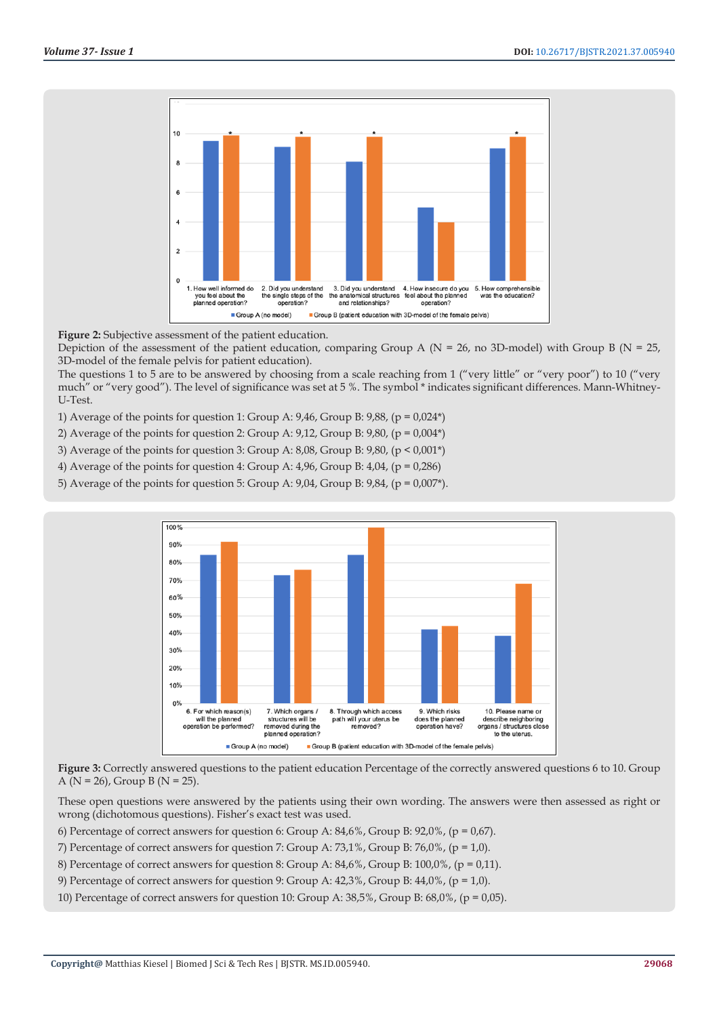

**Figure 2:** Subjective assessment of the patient education.

Depiction of the assessment of the patient education, comparing Group A ( $N = 26$ , no 3D-model) with Group B ( $N = 25$ , 3D-model of the female pelvis for patient education).

The questions 1 to 5 are to be answered by choosing from a scale reaching from 1 ("very little" or "very poor") to 10 ("very much" or "very good"). The level of significance was set at 5 %. The symbol \* indicates significant differences. Mann-Whitney-U-Test.

1) Average of the points for question 1: Group A:  $9,46$ , Group B:  $9,88$ , (p =  $0,024^*$ )

2) Average of the points for question 2: Group A:  $9,12$ , Group B:  $9,80$ , (p =  $0,004^*$ )

3) Average of the points for question 3: Group A: 8,08, Group B: 9,80, (p < 0,001\*)

4) Average of the points for question 4: Group A:  $4,96$ , Group B:  $4,04$ , (p = 0,286)

5) Average of the points for question 5: Group A:  $9,04$ , Group B:  $9,84$ , (p =  $0,007$ <sup>\*</sup>).



**Figure 3:** Correctly answered questions to the patient education Percentage of the correctly answered questions 6 to 10. Group A ( $N = 26$ ), Group B ( $N = 25$ ).

These open questions were answered by the patients using their own wording. The answers were then assessed as right or wrong (dichotomous questions). Fisher's exact test was used.

6) Percentage of correct answers for question 6: Group A:  $84,6\%$ , Group B:  $92,0\%$ , (p =  $0,67$ ).

7) Percentage of correct answers for question 7: Group A:  $73,1\%$ , Group B:  $76,0\%$ , (p = 1,0).

8) Percentage of correct answers for question 8: Group A:  $84,6\%$ , Group B:  $100,0\%$ , (p = 0,11).

9) Percentage of correct answers for question 9: Group A:  $42.3\%$ , Group B:  $44.0\%$ , (p = 1.0).

10) Percentage of correct answers for question 10: Group A:  $38,5%$ , Group B:  $68,0%$ , (p = 0,05).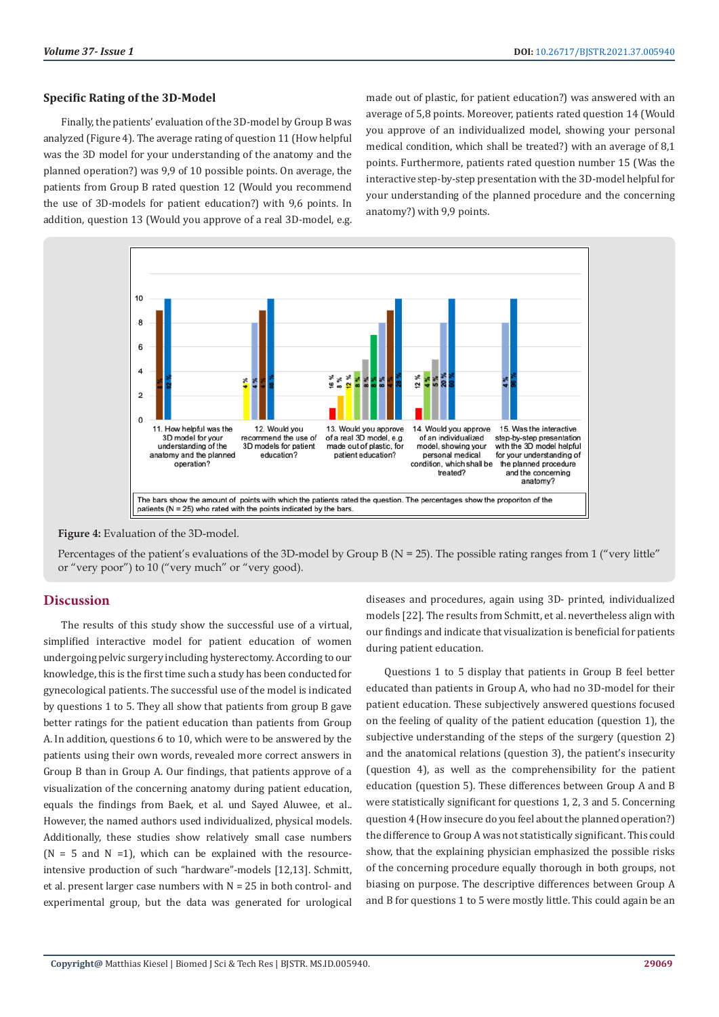#### **Specific Rating of the 3D-Model**

Finally, the patients' evaluation of the 3D-model by Group B was analyzed (Figure 4). The average rating of question 11 (How helpful was the 3D model for your understanding of the anatomy and the planned operation?) was 9,9 of 10 possible points. On average, the patients from Group B rated question 12 (Would you recommend the use of 3D-models for patient education?) with 9,6 points. In addition, question 13 (Would you approve of a real 3D-model, e.g.

made out of plastic, for patient education?) was answered with an average of 5,8 points. Moreover, patients rated question 14 (Would you approve of an individualized model, showing your personal medical condition, which shall be treated?) with an average of 8,1 points. Furthermore, patients rated question number 15 (Was the interactive step-by-step presentation with the 3D-model helpful for your understanding of the planned procedure and the concerning anatomy?) with 9,9 points.



**Figure 4:** Evaluation of the 3D-model.

Percentages of the patient's evaluations of the 3D-model by Group B ( $N = 25$ ). The possible rating ranges from 1 ("very little" or "very poor") to 10 ("very much" or "very good).

# **Discussion**

The results of this study show the successful use of a virtual, simplified interactive model for patient education of women undergoing pelvic surgery including hysterectomy. According to our knowledge, this is the first time such a study has been conducted for gynecological patients. The successful use of the model is indicated by questions 1 to 5. They all show that patients from group B gave better ratings for the patient education than patients from Group A. In addition, questions 6 to 10, which were to be answered by the patients using their own words, revealed more correct answers in Group B than in Group A. Our findings, that patients approve of a visualization of the concerning anatomy during patient education, equals the findings from Baek, et al. und Sayed Aluwee, et al.. However, the named authors used individualized, physical models. Additionally, these studies show relatively small case numbers  $(N = 5$  and  $N = 1$ ), which can be explained with the resourceintensive production of such "hardware"-models [12,13]. Schmitt, et al. present larger case numbers with  $N = 25$  in both control- and experimental group, but the data was generated for urological

diseases and procedures, again using 3D- printed, individualized models [22]. The results from Schmitt, et al. nevertheless align with our findings and indicate that visualization is beneficial for patients during patient education.

Questions 1 to 5 display that patients in Group B feel better educated than patients in Group A, who had no 3D-model for their patient education. These subjectively answered questions focused on the feeling of quality of the patient education (question 1), the subjective understanding of the steps of the surgery (question 2) and the anatomical relations (question 3), the patient's insecurity (question 4), as well as the comprehensibility for the patient education (question 5). These differences between Group A and B were statistically significant for questions 1, 2, 3 and 5. Concerning question 4 (How insecure do you feel about the planned operation?) the difference to Group A was not statistically significant. This could show, that the explaining physician emphasized the possible risks of the concerning procedure equally thorough in both groups, not biasing on purpose. The descriptive differences between Group A and B for questions 1 to 5 were mostly little. This could again be an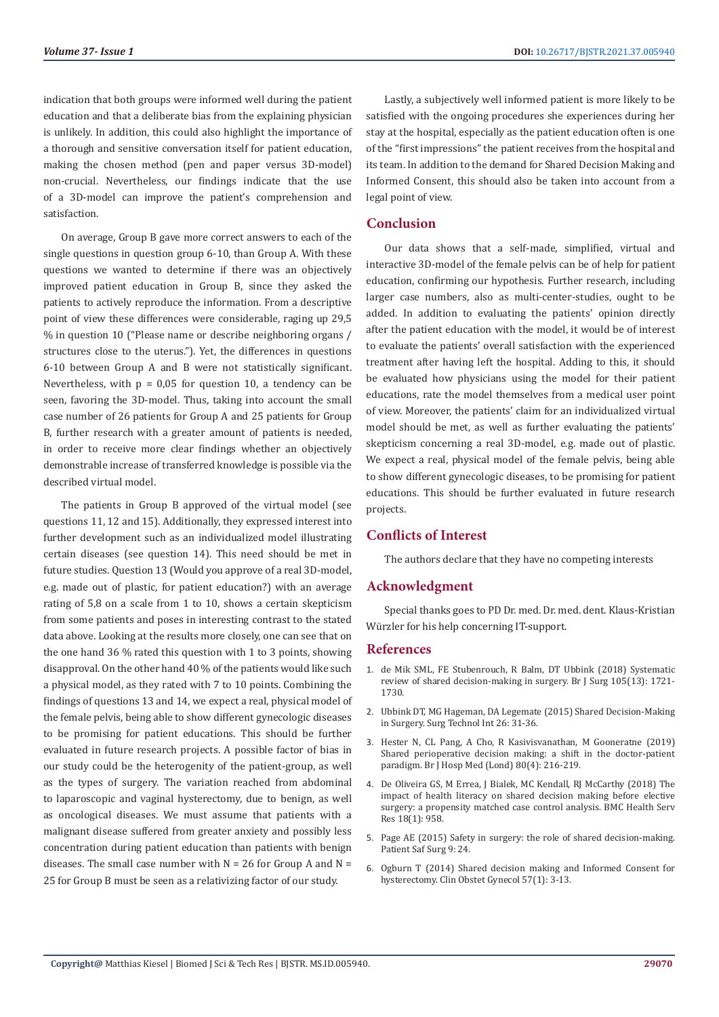indication that both groups were informed well during the patient education and that a deliberate bias from the explaining physician is unlikely. In addition, this could also highlight the importance of a thorough and sensitive conversation itself for patient education, making the chosen method (pen and paper versus 3D-model) non-crucial. Nevertheless, our findings indicate that the use of a 3D-model can improve the patient's comprehension and satisfaction.

On average, Group B gave more correct answers to each of the single questions in question group 6-10, than Group A. With these questions we wanted to determine if there was an objectively improved patient education in Group B, since they asked the patients to actively reproduce the information. From a descriptive point of view these differences were considerable, raging up 29,5 % in question 10 ("Please name or describe neighboring organs / structures close to the uterus."). Yet, the differences in questions 6-10 between Group A and B were not statistically significant. Nevertheless, with  $p = 0.05$  for question 10, a tendency can be seen, favoring the 3D-model. Thus, taking into account the small case number of 26 patients for Group A and 25 patients for Group B, further research with a greater amount of patients is needed, in order to receive more clear findings whether an objectively demonstrable increase of transferred knowledge is possible via the described virtual model.

The patients in Group B approved of the virtual model (see questions 11, 12 and 15). Additionally, they expressed interest into further development such as an individualized model illustrating certain diseases (see question 14). This need should be met in future studies. Question 13 (Would you approve of a real 3D-model, e.g. made out of plastic, for patient education?) with an average rating of 5,8 on a scale from 1 to 10, shows a certain skepticism from some patients and poses in interesting contrast to the stated data above. Looking at the results more closely, one can see that on the one hand 36 % rated this question with 1 to 3 points, showing disapproval. On the other hand 40 % of the patients would like such a physical model, as they rated with 7 to 10 points. Combining the findings of questions 13 and 14, we expect a real, physical model of the female pelvis, being able to show different gynecologic diseases to be promising for patient educations. This should be further evaluated in future research projects. A possible factor of bias in our study could be the heterogenity of the patient-group, as well as the types of surgery. The variation reached from abdominal to laparoscopic and vaginal hysterectomy, due to benign, as well as oncological diseases. We must assume that patients with a malignant disease suffered from greater anxiety and possibly less concentration during patient education than patients with benign diseases. The small case number with  $N = 26$  for Group A and  $N =$ 25 for Group B must be seen as a relativizing factor of our study.

Lastly, a subjectively well informed patient is more likely to be satisfied with the ongoing procedures she experiences during her stay at the hospital, especially as the patient education often is one of the "first impressions" the patient receives from the hospital and its team. In addition to the demand for Shared Decision Making and Informed Consent, this should also be taken into account from a legal point of view.

# **Conclusion**

Our data shows that a self-made, simplified, virtual and interactive 3D-model of the female pelvis can be of help for patient education, confirming our hypothesis. Further research, including larger case numbers, also as multi-center-studies, ought to be added. In addition to evaluating the patients' opinion directly after the patient education with the model, it would be of interest to evaluate the patients' overall satisfaction with the experienced treatment after having left the hospital. Adding to this, it should be evaluated how physicians using the model for their patient educations, rate the model themselves from a medical user point of view. Moreover, the patients' claim for an individualized virtual model should be met, as well as further evaluating the patients' skepticism concerning a real 3D-model, e.g. made out of plastic. We expect a real, physical model of the female pelvis, being able to show different gynecologic diseases, to be promising for patient educations. This should be further evaluated in future research projects.

# **Conflicts of Interest**

The authors declare that they have no competing interests

# **Acknowledgment**

Special thanks goes to PD Dr. med. Dr. med. dent. Klaus-Kristian Würzler for his help concerning IT-support.

#### **References**

- 1. [de Mik SML, FE Stubenrouch, R Balm, DT Ubbink \(2018\) Systematic](https://pubmed.ncbi.nlm.nih.gov/30357815/) [review of shared decision-making in surgery. Br J Surg 105\(13\): 1721-](https://pubmed.ncbi.nlm.nih.gov/30357815/) [1730.](https://pubmed.ncbi.nlm.nih.gov/30357815/)
- 2. [Ubbink DT, MG Hageman, DA Legemate \(2015\) Shared Decision-Making](https://pubmed.ncbi.nlm.nih.gov/26054988/) [in Surgery. Surg Technol Int 26: 31-36.](https://pubmed.ncbi.nlm.nih.gov/26054988/)
- 3. [Hester N, CL Pang, A Cho, R Kasivisvanathan, M Gooneratne \(2019\)](https://pubmed.ncbi.nlm.nih.gov/30951408/) [Shared perioperative decision making: a shift in the doctor-patient](https://pubmed.ncbi.nlm.nih.gov/30951408/) [paradigm. Br J Hosp Med \(Lond\) 80\(4\): 216-219.](https://pubmed.ncbi.nlm.nih.gov/30951408/)
- 4. [De Oliveira GS, M Errea, J Bialek, MC Kendall, RJ McCarthy \(2018\) The](https://pubmed.ncbi.nlm.nih.gov/30541541/) [impact of health literacy on shared decision making before elective](https://pubmed.ncbi.nlm.nih.gov/30541541/) [surgery: a propensity matched case control analysis. BMC Health Serv](https://pubmed.ncbi.nlm.nih.gov/30541541/) [Res 18\(1\): 958.](https://pubmed.ncbi.nlm.nih.gov/30541541/)
- 5. [Page AE \(2015\) Safety in surgery: the role of shared decision-making.](https://pubmed.ncbi.nlm.nih.gov/26034507/) [Patient Saf Surg 9: 24.](https://pubmed.ncbi.nlm.nih.gov/26034507/)
- 6. [Ogburn T \(2014\) Shared decision making and Informed Consent for](https://pubmed.ncbi.nlm.nih.gov/24145363/) [hysterectomy. Clin Obstet Gynecol 57\(1\): 3-13.](https://pubmed.ncbi.nlm.nih.gov/24145363/)